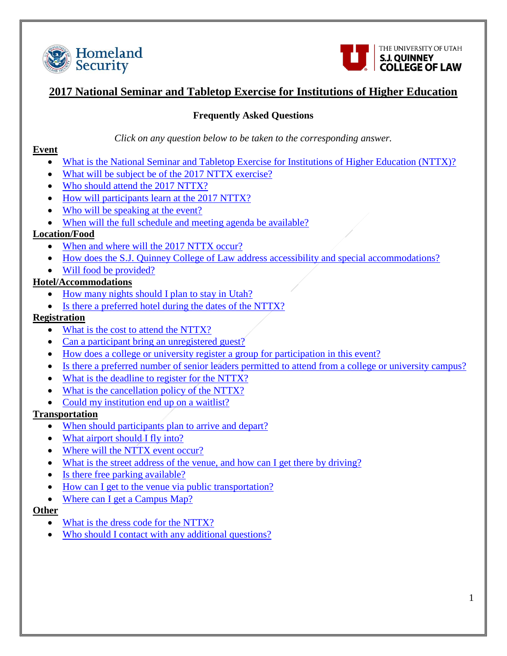<span id="page-0-0"></span>



# **2017 National Seminar and Tabletop Exercise for Institutions of Higher Education**

## **Frequently Asked Questions**

#### *Click on any question below to be taken to the corresponding answer.*

#### **Event**

- [What is the National Seminar and Tabletop Exercise for Institutions of Higher Education \(NTTX\)?](#page-1-0)
- [What will be subject be of the 2017 NTTX exercise?](#page-1-1)
- [Who should attend the 2017 NTTX?](#page-1-2)
- [How will participants learn at the 2017 NTTX?](#page-1-3)
- [Who will be speaking at the event?](#page-1-4)
- [When will the full schedule and meeting agenda be available?](#page-1-5)

## **Location/Food**

- [When and where will the 2017 NTTX occur?](#page-2-0)
- [How does the S.J. Quinney College of Law address accessibility and special accommodations?](#page-2-1)
- [Will food be provided?](#page-2-2)

## **Hotel/Accommodations**

- [How many nights should I plan to stay in Utah?](#page-3-0)
- [Is there a preferred hotel during the dates of the NTTX?](#page-3-1)

## **Registration**

- [What is the cost to attend the NTTX?](#page-4-0)
- [Can a participant bring an unregistered guest?](#page-4-1)
- [How does a college or university register a group for participation in this event?](#page-4-2)
- [Is there a preferred number of senior leaders permitted to attend from a college or university campus?](#page-4-3)
- [What is the deadline to register for the NTTX?](#page-4-4)
- [What is the cancellation policy of the NTTX?](#page-4-5)
- [Could my institution end up on a waitlist?](#page-4-6)

## **Transportation**

- [When should participants plan to arrive and depart?](#page-4-7)
- [What airport should I fly into?](#page-4-8)
- [Where will the NTTX event occur?](#page-4-9)
- [What is the street address of the venue, and how can I get there by driving?](#page-5-0)
- [Is there free parking available?](#page-5-1)
- [How can I get to the venue via public transportation?](#page-5-2)
- [Where can I get a Campus Map?](#page-5-3)

## **Other**

- [What is the dress code for the NTTX?](#page-5-4)
- [Who should I contact with any additional questions?](#page-5-5)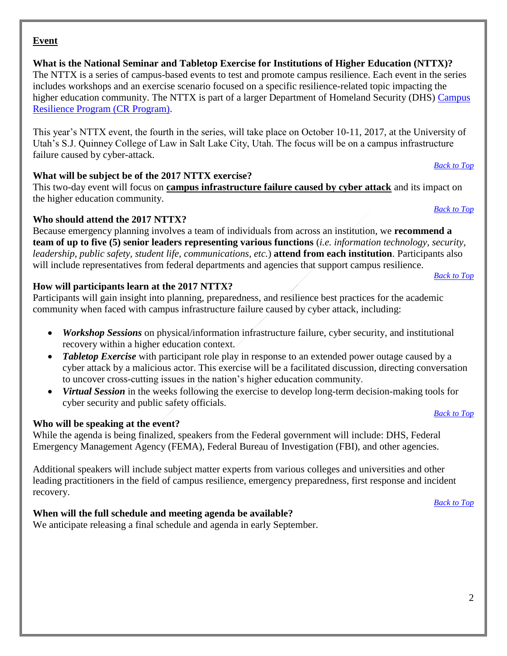#### **Event**

<span id="page-1-0"></span>**What is the National Seminar and Tabletop Exercise for Institutions of Higher Education (NTTX)?**  The NTTX is a series of campus-based events to test and promote campus resilience. Each event in the series includes workshops and an exercise scenario focused on a specific resilience-related topic impacting the higher education community. The NTTX is part of a larger Department of Homeland Security (DHS) Campus [Resilience Program \(CR Program\).](https://www.dhs.gov/campus-resilience)

This year's NTTX event, the fourth in the series, will take place on October 10-11, 2017, at the University of Utah's S.J. Quinney College of Law in Salt Lake City, Utah. The focus will be on a campus infrastructure failure caused by cyber-attack.

#### <span id="page-1-1"></span>**What will be subject be of the 2017 NTTX exercise?**

This two-day event will focus on **campus infrastructure failure caused by cyber attack** and its impact on the higher education community.

#### <span id="page-1-2"></span>**Who should attend the 2017 NTTX?**

Because emergency planning involves a team of individuals from across an institution, we **recommend a team of up to five (5) senior leaders representing various functions** (*i.e. information technology, security, leadership, public safety, student life, communications, etc.*) **attend from each institution**. Participants also will include representatives from federal departments and agencies that support campus resilience.

#### <span id="page-1-3"></span>**How will participants learn at the 2017 NTTX?**

Participants will gain insight into planning, preparedness, and resilience best practices for the academic community when faced with campus infrastructure failure caused by cyber attack, including:

- *Workshop Sessions* on physical/information infrastructure failure, cyber security, and institutional recovery within a higher education context.
- *Tabletop Exercise* with participant role play in response to an extended power outage caused by a cyber attack by a malicious actor. This exercise will be a facilitated discussion, directing conversation to uncover cross-cutting issues in the nation's higher education community.
- *Virtual Session* in the weeks following the exercise to develop long-term decision-making tools for cyber security and public safety officials.

#### <span id="page-1-4"></span>**Who will be speaking at the event?**

While the agenda is being finalized, speakers from the Federal government will include: DHS, Federal Emergency Management Agency (FEMA), Federal Bureau of Investigation (FBI), and other agencies.

Additional speakers will include subject matter experts from various colleges and universities and other leading practitioners in the field of campus resilience, emergency preparedness, first response and incident recovery.

#### <span id="page-1-5"></span>**When will the full schedule and meeting agenda be available?**

We anticipate releasing a final schedule and agenda in early September.

*[Back to Top](#page-0-0)*

*[Back to Top](#page-0-0)*

*[Back to Top](#page-0-0)*

*[Back to Top](#page-0-0)*

*[Back to Top](#page-0-0)*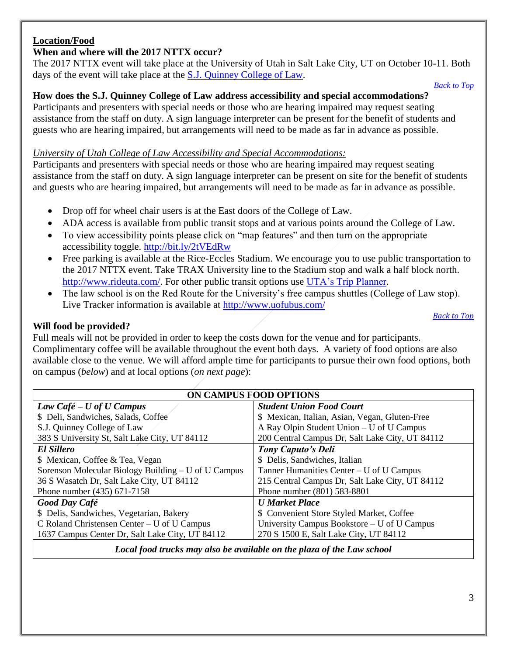## **Location/Food**

## <span id="page-2-0"></span>**When and where will the 2017 NTTX occur?**

The 2017 NTTX event will take place at the University of Utah in Salt Lake City, UT on October 10-11. Both days of the event will take place at the [S.J. Quinney College of Law.](http://www.law.utah.edu/)

*[Back to Top](#page-0-0)*

*[Back to Top](#page-0-0)*

## <span id="page-2-1"></span>**How does the S.J. Quinney College of Law address accessibility and special accommodations?**

Participants and presenters with special needs or those who are hearing impaired may request seating assistance from the staff on duty. A sign language interpreter can be present for the benefit of students and guests who are hearing impaired, but arrangements will need to be made as far in advance as possible.

#### *University of Utah College of Law Accessibility and Special Accommodations:*

Participants and presenters with special needs or those who are hearing impaired may request seating assistance from the staff on duty. A sign language interpreter can be present on site for the benefit of students and guests who are hearing impaired, but arrangements will need to be made as far in advance as possible.

- Drop off for wheel chair users is at the East doors of the College of Law.
- ADA access is available from public transit stops and at various points around the College of Law.
- To view accessibility points please click on "map features" and then turn on the appropriate accessibility toggle.<http://bit.ly/2tVEdRw>
- Free parking is available at the Rice-Eccles Stadium. We encourage you to use public transportation to the 2017 NTTX event. Take TRAX University line to the Stadium stop and walk a half block north. [http://www.rideuta.com/.](http://www.rideuta.com/) For other public transit options use [UTA's Trip Planner.](http://www.rideuta.com/Rider-Tools/Trip-Planner)
- The law school is on the Red Route for the University's free campus shuttles (College of Law stop). Live Tracker information is available at<http://www.uofubus.com/>

<span id="page-2-2"></span>**Will food be provided?** 

Full meals will not be provided in order to keep the costs down for the venue and for participants. Complimentary coffee will be available throughout the event both days. A variety of food options are also available close to the venue. We will afford ample time for participants to pursue their own food options, both on campus (*below*) and at local options (*on next page*):

| ON CAMPUS FOOD OPTIONS                              |                                                 |
|-----------------------------------------------------|-------------------------------------------------|
| Law Café – U of U Campus                            | <b>Student Union Food Court</b>                 |
| \$ Deli, Sandwiches, Salads, Coffee                 | \$ Mexican, Italian, Asian, Vegan, Gluten-Free  |
| S.J. Quinney College of Law                         | A Ray Olpin Student Union – U of U Campus       |
| 383 S University St, Salt Lake City, UT 84112       | 200 Central Campus Dr, Salt Lake City, UT 84112 |
| <b>El Sillero</b>                                   | Tony Caputo's Deli                              |
| \$ Mexican, Coffee & Tea, Vegan                     | \$ Delis, Sandwiches, Italian                   |
| Sorenson Molecular Biology Building – U of U Campus | Tanner Humanities Center – U of U Campus        |
| 36 S Wasatch Dr, Salt Lake City, UT 84112           | 215 Central Campus Dr, Salt Lake City, UT 84112 |
| Phone number (435) 671-7158                         | Phone number (801) 583-8801                     |
| <b>Good Day Café</b>                                | <b>U</b> Market Place                           |
| \$ Delis, Sandwiches, Vegetarian, Bakery            | \$ Convenient Store Styled Market, Coffee       |
| C Roland Christensen Center – U of U Campus         | University Campus Bookstore – U of U Campus     |
| 1637 Campus Center Dr, Salt Lake City, UT 84112     | 270 S 1500 E, Salt Lake City, UT 84112          |
|                                                     |                                                 |

*Local food trucks may also be available on the plaza of the Law school*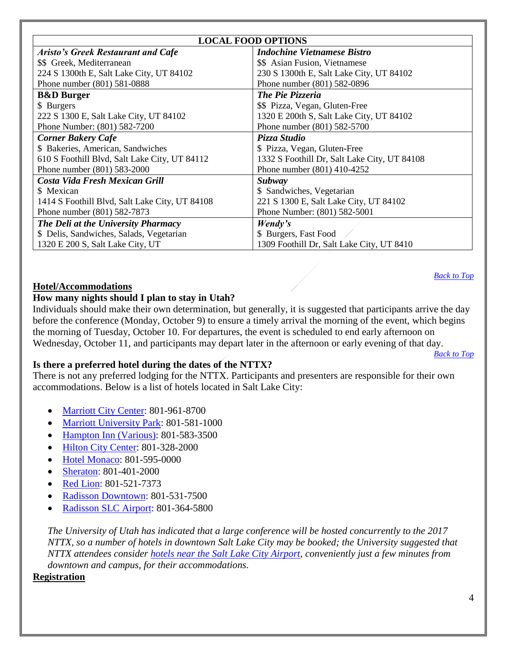| <b>LOCAL FOOD OPTIONS</b>                      |                                              |
|------------------------------------------------|----------------------------------------------|
| <b>Aristo's Greek Restaurant and Cafe</b>      | <b>Indochine Vietnamese Bistro</b>           |
| \$\$ Greek, Mediterranean                      | \$\$ Asian Fusion, Vietnamese                |
| 224 S 1300th E, Salt Lake City, UT 84102       | 230 S 1300th E, Salt Lake City, UT 84102     |
| Phone number (801) 581-0888                    | Phone number (801) 582-0896                  |
| <b>B&amp;D</b> Burger                          | The Pie Pizzeria                             |
| \$ Burgers                                     | \$\$ Pizza, Vegan, Gluten-Free               |
| 222 S 1300 E, Salt Lake City, UT 84102         | 1320 E 200th S, Salt Lake City, UT 84102     |
| Phone Number: (801) 582-7200                   | Phone number (801) 582-5700                  |
| <b>Corner Bakery Cafe</b>                      | Pizza Studio                                 |
| \$ Bakeries, American, Sandwiches              | \$ Pizza, Vegan, Gluten-Free                 |
| 610 S Foothill Blvd, Salt Lake City, UT 84112  | 1332 S Foothill Dr, Salt Lake City, UT 84108 |
| Phone number (801) 583-2000                    | Phone number (801) 410-4252                  |
| Costa Vida Fresh Mexican Grill                 | Subway                                       |
| \$ Mexican                                     | \$ Sandwiches, Vegetarian                    |
| 1414 S Foothill Blvd, Salt Lake City, UT 84108 | 221 S 1300 E, Salt Lake City, UT 84102       |
| Phone number (801) 582-7873                    | Phone Number: (801) 582-5001                 |
| The Deli at the University Pharmacy            | Wendy's                                      |
| \$ Delis, Sandwiches, Salads, Vegetarian       | \$ Burgers, Fast Food                        |
| 1320 E 200 S, Salt Lake City, UT               | 1309 Foothill Dr, Salt Lake City, UT 8410    |

## **Hotel/Accommodations**

#### <span id="page-3-0"></span>**How many nights should I plan to stay in Utah?**

Individuals should make their own determination, but generally, it is suggested that participants arrive the day before the conference (Monday, October 9) to ensure a timely arrival the morning of the event, which begins the morning of Tuesday, October 10. For departures, the event is scheduled to end early afternoon on Wednesday, October 11, and participants may depart later in the afternoon or early evening of that day.

*[Back to Top](#page-0-0)*

*[Back to Top](#page-0-0)*

#### <span id="page-3-1"></span>**Is there a preferred hotel during the dates of the NTTX?**

There is not any preferred lodging for the NTTX. Participants and presenters are responsible for their own accommodations. Below is a list of hotels located in Salt Lake City:

- [Marriott City Center:](http://www.marriott.com/hotels/travel/slccc-salt-lake-city-marriott-city-center/) 801-961-8700
- [Marriott University Park:](http://www.marriott.com/hotels/travel/slcup-salt-lake-city-marriott-university-park/) 801-581-1000
- [Hampton Inn \(Various\):](http://bit.ly/2uNV5H8) 801-583-3500
- [Hilton City Center:](http://www3.hilton.com/en/hotels/utah/hilton-salt-lake-city-center-SLCCCHH/index.html) 801-328-2000
- [Hotel Monaco:](http://www.monaco-saltlakecity.com/) 801-595-0000
- [Sheraton:](http://www.sheratonsaltlakecityhotel.com/) 801-401-2000
- [Red Lion:](https://www.redlion.com/salt-lake) 801-521-7373
- [Radisson Downtown:](https://www.radisson.com/salt-lake-city-hotel-ut-84101/utsaltlk) 801-531-7500
- [Radisson SLC Airport:](https://www.radisson.com/salt-lake-city-hotel-ut-84116/saltair) 801-364-5800

*The University of Utah has indicated that a large conference will be hosted concurrently to the 2017 NTTX, so a number of hotels in downtown Salt Lake City may be booked; the University suggested that NTTX attendees consider [hotels near the Salt Lake City Airport,](http://bit.ly/2sMltje) conveniently just a few minutes from downtown and campus, for their accommodations.*

#### **Registration**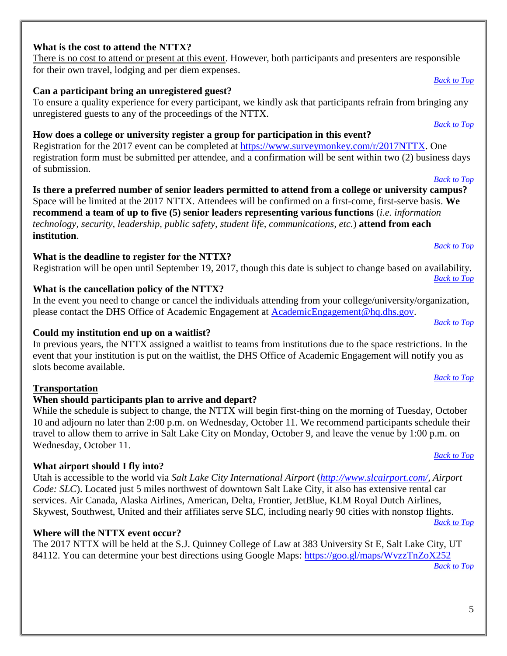## <span id="page-4-0"></span>**What is the cost to attend the NTTX?**

There is no cost to attend or present at this event. However, both participants and presenters are responsible for their own travel, lodging and per diem expenses.

# <span id="page-4-1"></span>**Can a participant bring an unregistered guest?**

To ensure a quality experience for every participant, we kindly ask that participants refrain from bringing any unregistered guests to any of the proceedings of the NTTX. *[Back to Top](#page-0-0)*

# <span id="page-4-2"></span>**How does a college or university register a group for participation in this event?**

Registration for the 2017 event can be completed at [https://www.surveymonkey.com/r/2017NTTX.](https://www.surveymonkey.com/r/2017NTTX) One registration form must be submitted per attendee, and a confirmation will be sent within two (2) business days of submission. *[Back to Top](#page-0-0)*

<span id="page-4-3"></span>**Is there a preferred number of senior leaders permitted to attend from a college or university campus?**  Space will be limited at the 2017 NTTX. Attendees will be confirmed on a first-come, first-serve basis. **We recommend a team of up to five (5) senior leaders representing various functions** (*i.e. information technology, security, leadership, public safety, student life, communications, etc.*) **attend from each institution**. *[Back to Top](#page-0-0)*

# <span id="page-4-4"></span>**What is the deadline to register for the NTTX?**

Registration will be open until September 19, 2017, though this date is subject to change based on availability. *[Back to Top](#page-0-0)*

# <span id="page-4-5"></span>**What is the cancellation policy of the NTTX?**

In the event you need to change or cancel the individuals attending from your college/university/organization, please contact the DHS Office of Academic Engagement at [AcademicEngagement@hq.dhs.gov.](mailto:AcademicEngagement@hq.dhs.gov)

# <span id="page-4-6"></span>**Could my institution end up on a waitlist?**

In previous years, the NTTX assigned a waitlist to teams from institutions due to the space restrictions. In the event that your institution is put on the waitlist, the DHS Office of Academic Engagement will notify you as slots become available.

# **Transportation**

# <span id="page-4-7"></span>**When should participants plan to arrive and depart?**

While the schedule is subject to change, the NTTX will begin first-thing on the morning of Tuesday, October 10 and adjourn no later than 2:00 p.m. on Wednesday, October 11. We recommend participants schedule their travel to allow them to arrive in Salt Lake City on Monday, October 9, and leave the venue by 1:00 p.m. on Wednesday, October 11.

# <span id="page-4-8"></span>**What airport should I fly into?**

Utah is accessible to the world via *Salt Lake City International Airport* (*[http://www.slcairport.com/,](http://www.slcairport.com/) Airport Code: SLC*). Located just 5 miles northwest of downtown Salt Lake City, it also has extensive rental car services. Air Canada, Alaska Airlines, American, Delta, Frontier, JetBlue, KLM Royal Dutch Airlines, Skywest, Southwest, United and their affiliates serve SLC, including nearly 90 cities with nonstop flights. *[Back to Top](#page-0-0)*

# <span id="page-4-9"></span>**Where will the NTTX event occur?**

The 2017 NTTX will be held at the S.J. Quinney College of Law at 383 University St E, Salt Lake City, UT 84112. You can determine your best directions using Google Maps:<https://goo.gl/maps/WvzzTnZoX252>

*[Back to Top](#page-0-0)*

# *[Back to Top](#page-0-0)*

*[Back to Top](#page-0-0)*

*[Back to Top](#page-0-0)*

*[Back to Top](#page-0-0)*